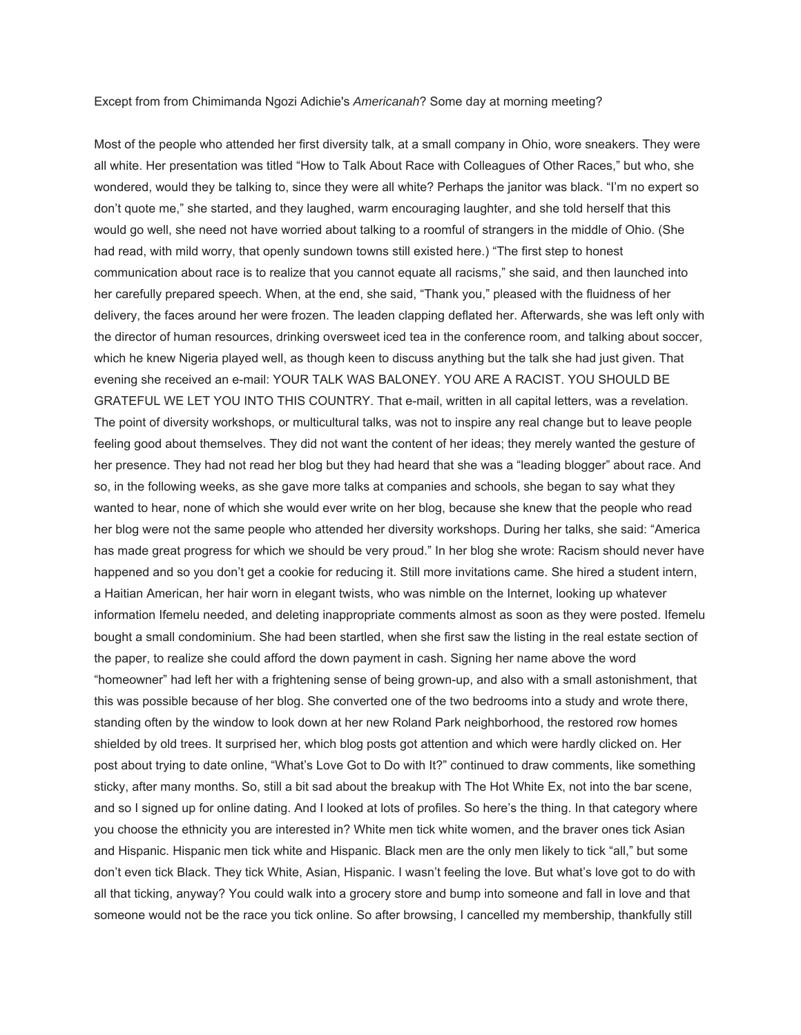## Except from from Chimimanda Ngozi Adichie's *Americanah*? Some day at morning meeting?

Most of the people who attended her first diversity talk, at a small company in Ohio, wore sneakers. They were all white. Her presentation was titled "How to Talk About Race with Colleagues of Other Races," but who, she wondered, would they be talking to, since they were all white? Perhaps the janitor was black. "I'm no expert so don't quote me," she started, and they laughed, warm encouraging laughter, and she told herself that this would go well, she need not have worried about talking to a roomful of strangers in the middle of Ohio. (She had read, with mild worry, that openly sundown towns still existed here.) "The first step to honest communication about race is to realize that you cannot equate all racisms," she said, and then launched into her carefully prepared speech. When, at the end, she said, "Thank you," pleased with the fluidness of her delivery, the faces around her were frozen. The leaden clapping deflated her. Afterwards, she was left only with the director of human resources, drinking oversweet iced tea in the conference room, and talking about soccer, which he knew Nigeria played well, as though keen to discuss anything but the talk she had just given. That evening she received an e-mail: YOUR TALK WAS BALONEY. YOU ARE A RACIST. YOU SHOULD BE GRATEFUL WE LET YOU INTO THIS COUNTRY. That e-mail, written in all capital letters, was a revelation. The point of diversity workshops, or multicultural talks, was not to inspire any real change but to leave people feeling good about themselves. They did not want the content of her ideas; they merely wanted the gesture of her presence. They had not read her blog but they had heard that she was a "leading blogger" about race. And so, in the following weeks, as she gave more talks at companies and schools, she began to say what they wanted to hear, none of which she would ever write on her blog, because she knew that the people who read her blog were not the same people who attended her diversity workshops. During her talks, she said: "America has made great progress for which we should be very proud." In her blog she wrote: Racism should never have happened and so you don't get a cookie for reducing it. Still more invitations came. She hired a student intern, a Haitian American, her hair worn in elegant twists, who was nimble on the Internet, looking up whatever information Ifemelu needed, and deleting inappropriate comments almost as soon as they were posted. Ifemelu bought a small condominium. She had been startled, when she first saw the listing in the real estate section of the paper, to realize she could afford the down payment in cash. Signing her name above the word "homeowner" had left her with a frightening sense of being grown-up, and also with a small astonishment, that this was possible because of her blog. She converted one of the two bedrooms into a study and wrote there, standing often by the window to look down at her new Roland Park neighborhood, the restored row homes shielded by old trees. It surprised her, which blog posts got attention and which were hardly clicked on. Her post about trying to date online, "What's Love Got to Do with It?" continued to draw comments, like something sticky, after many months. So, still a bit sad about the breakup with The Hot White Ex, not into the bar scene, and so I signed up for online dating. And I looked at lots of profiles. So here's the thing. In that category where you choose the ethnicity you are interested in? White men tick white women, and the braver ones tick Asian and Hispanic. Hispanic men tick white and Hispanic. Black men are the only men likely to tick "all," but some don't even tick Black. They tick White, Asian, Hispanic. I wasn't feeling the love. But what's love got to do with all that ticking, anyway? You could walk into a grocery store and bump into someone and fall in love and that someone would not be the race you tick online. So after browsing, I cancelled my membership, thankfully still